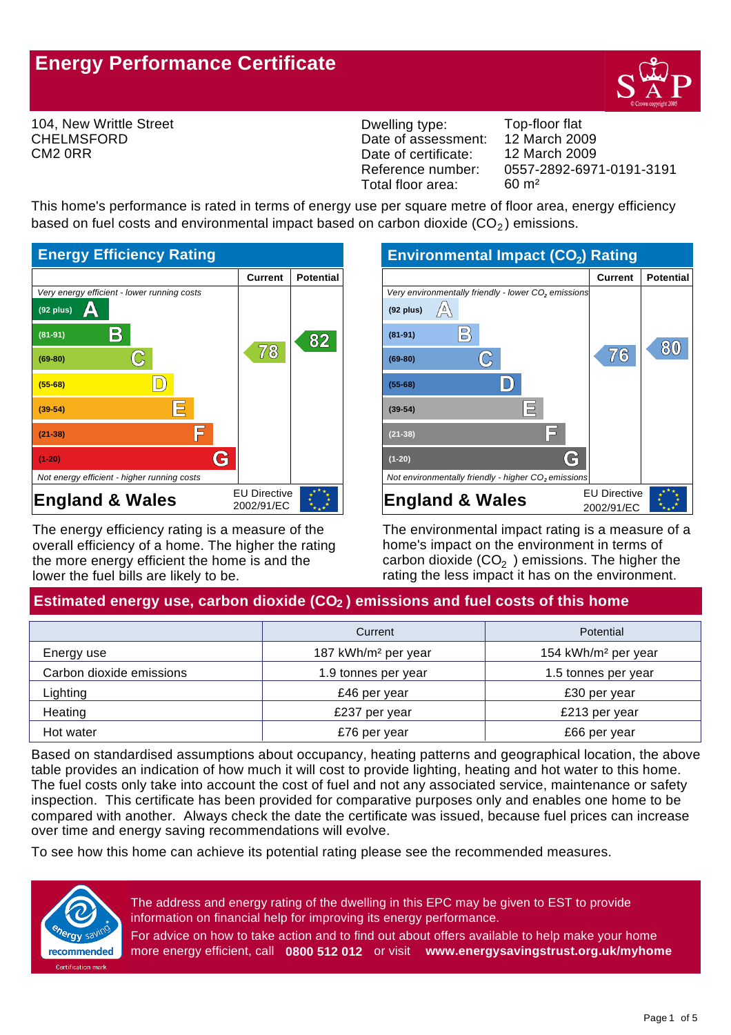# **Energy Performance Certificate**



104, New Writtle Street CHELMSFORD CM2 0RR

Dwelling type: Top-floor flat Date of assessment: Date of certificate: Reference number: Total floor area: 60 m²

0557-2892-6971-0191-3191 12 March 2009 12 March 2009

This home's performance is rated in terms of energy use per square metre of floor area, energy efficiency based on fuel costs and environmental impact based on carbon dioxide  $(CO<sub>2</sub>)$  emissions.



The energy efficiency rating is a measure of the overall efficiency of a home. The higher the rating the more energy efficient the home is and the lower the fuel bills are likely to be.

| <b>Environmental Impact (CO2) Rating</b>                        |                     |                  |  |
|-----------------------------------------------------------------|---------------------|------------------|--|
|                                                                 | <b>Current</b>      | <b>Potential</b> |  |
| Very environmentally friendly - lower CO <sub>2</sub> emissions |                     |                  |  |
| $(92$ plus)                                                     |                     |                  |  |
| 밁<br>$(81 - 91)$                                                |                     | 80               |  |
| $(69-80)$                                                       | 7⁄6                 |                  |  |
| $(55-68)$                                                       |                     |                  |  |
| $(39-54)$                                                       |                     |                  |  |
| $(21 - 38)$                                                     |                     |                  |  |
| $(1-20)$                                                        |                     |                  |  |
| Not environmentally friendly - higher CO <sub>2</sub> emissions |                     |                  |  |
| <b>England &amp; Wales</b>                                      | <b>EU Directive</b> |                  |  |
|                                                                 | 2002/91/EC          |                  |  |

The environmental impact rating is a measure of a home's impact on the environment in terms of carbon dioxide (CO<sub>2</sub>) emissions. The higher the rating the less impact it has on the environment.

# Estimated energy use, carbon dioxide (CO<sub>2</sub>) emissions and fuel costs of this home

|                          | Current                         | Potential                       |
|--------------------------|---------------------------------|---------------------------------|
| Energy use               | 187 kWh/m <sup>2</sup> per year | 154 kWh/m <sup>2</sup> per year |
| Carbon dioxide emissions | 1.9 tonnes per year             | 1.5 tonnes per year             |
| Lighting                 | £46 per year                    | £30 per year                    |
| Heating                  | £237 per year                   | £213 per year                   |
| Hot water                | £76 per year                    | £66 per year                    |

Based on standardised assumptions about occupancy, heating patterns and geographical location, the above table provides an indication of how much it will cost to provide lighting, heating and hot water to this home. The fuel costs only take into account the cost of fuel and not any associated service, maintenance or safety inspection. This certificate has been provided for comparative purposes only and enables one home to be compared with another. Always check the date the certificate was issued, because fuel prices can increase over time and energy saving recommendations will evolve.

To see how this home can achieve its potential rating please see the recommended measures.



The address and energy rating of the dwelling in this EPC may be given to EST to provide information on financial help for improving its energy performance.

For advice on how to take action and to find out about offers available to help make your home more energy efficient, call **0800 512 012** or visit **www.energysavingstrust.org.uk/myhome**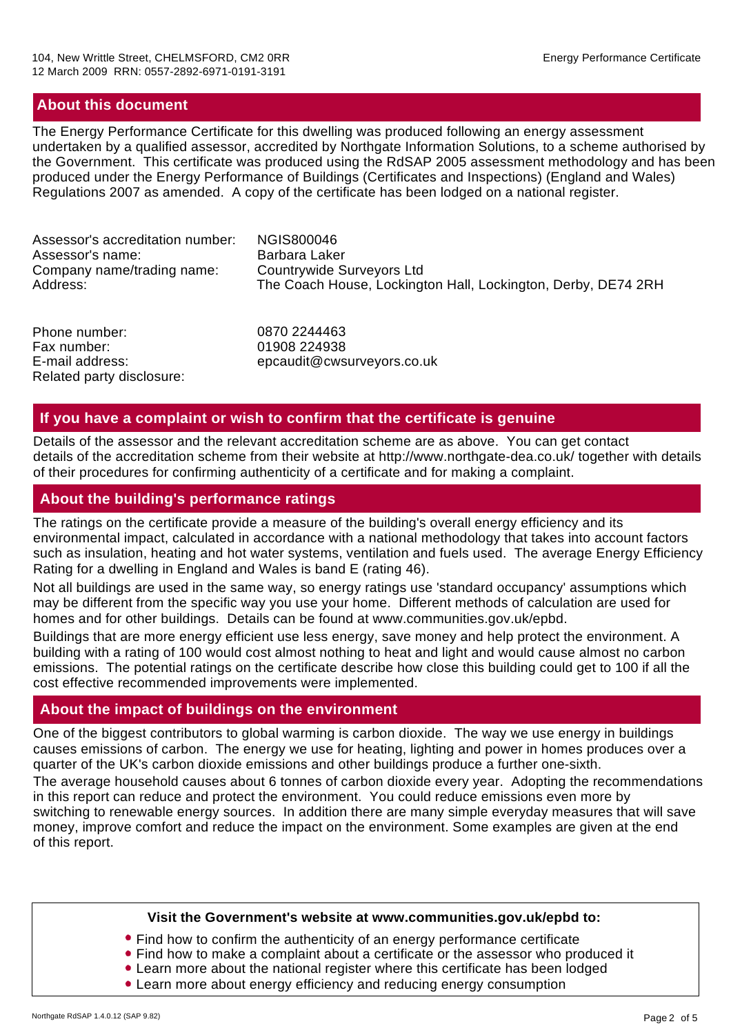#### **About this document**

The Energy Performance Certificate for this dwelling was produced following an energy assessment undertaken by a qualified assessor, accredited by Northgate Information Solutions, to a scheme authorised by the Government. This certificate was produced using the RdSAP 2005 assessment methodology and has been produced under the Energy Performance of Buildings (Certificates and Inspections) (England and Wales) Regulations 2007 as amended. A copy of the certificate has been lodged on a national register.

| Barbara Laker<br>Assessor's name:<br>Countrywide Surveyors Ltd<br>Company name/trading name:<br>The Coach House, Lockington Hall, Lockington, Derby, DE74 2RH<br>Address: | Assessor's accreditation number: | NGIS800046 |
|---------------------------------------------------------------------------------------------------------------------------------------------------------------------------|----------------------------------|------------|
|---------------------------------------------------------------------------------------------------------------------------------------------------------------------------|----------------------------------|------------|

Phone number: Fax number: E-mail address: Related party disclosure: epcaudit@cwsurveyors.co.uk 01908 224938 0870 2244463

#### **If you have a complaint or wish to confirm that the certificate is genuine**

Details of the assessor and the relevant accreditation scheme are as above. You can get contact details of the accreditation scheme from their website at http://www.northgate-dea.co.uk/ together with details of their procedures for confirming authenticity of a certificate and for making a complaint.

#### **About the building's performance ratings**

The ratings on the certificate provide a measure of the building's overall energy efficiency and its environmental impact, calculated in accordance with a national methodology that takes into account factors such as insulation, heating and hot water systems, ventilation and fuels used. The average Energy Efficiency Rating for a dwelling in England and Wales is band E (rating 46).

Not all buildings are used in the same way, so energy ratings use 'standard occupancy' assumptions which may be different from the specific way you use your home. Different methods of calculation are used for homes and for other buildings. Details can be found at www.communities.gov.uk/epbd.

Buildings that are more energy efficient use less energy, save money and help protect the environment. A building with a rating of 100 would cost almost nothing to heat and light and would cause almost no carbon emissions. The potential ratings on the certificate describe how close this building could get to 100 if all the cost effective recommended improvements were implemented.

#### **About the impact of buildings on the environment**

One of the biggest contributors to global warming is carbon dioxide. The way we use energy in buildings causes emissions of carbon. The energy we use for heating, lighting and power in homes produces over a quarter of the UK's carbon dioxide emissions and other buildings produce a further one-sixth.

The average household causes about 6 tonnes of carbon dioxide every year. Adopting the recommendations in this report can reduce and protect the environment. You could reduce emissions even more by switching to renewable energy sources. In addition there are many simple everyday measures that will save money, improve comfort and reduce the impact on the environment. Some examples are given at the end of this report.

#### **Visit the Government's website at www.communities.gov.uk/epbd to:**

- Find how to confirm the authenticity of an energy performance certificate
- Find how to make a complaint about a certificate or the assessor who produced it
- Learn more about the national register where this certificate has been lodged
- Learn more about energy efficiency and reducing energy consumption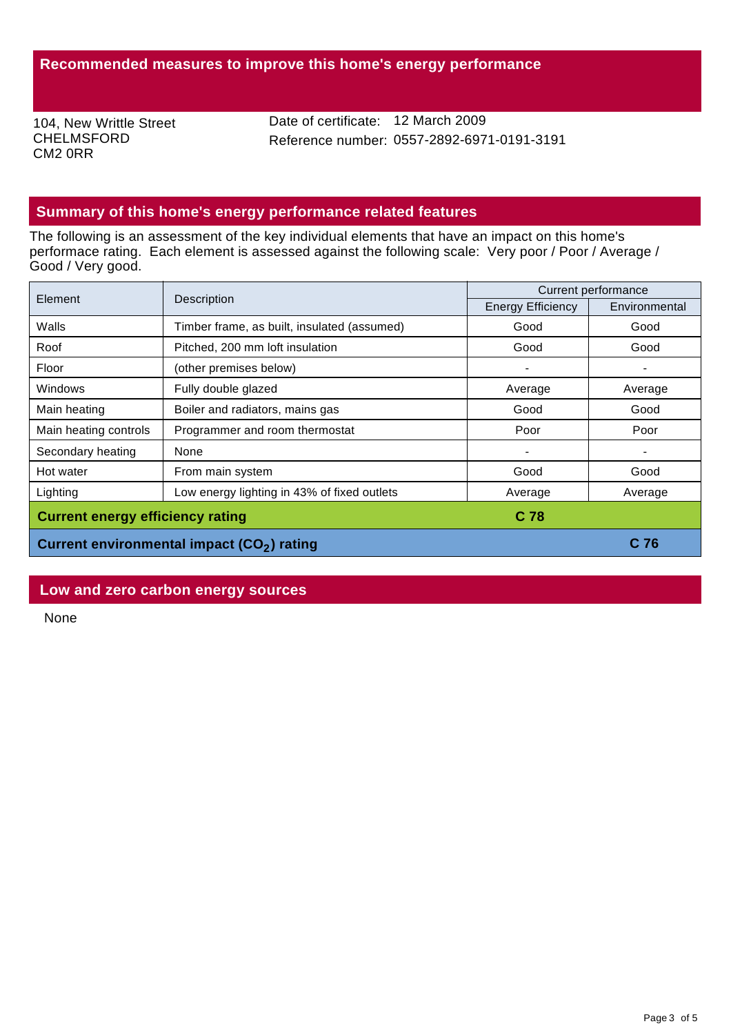104, New Writtle Street CHELMSFORD CM2 0RR

Date of certificate: 12 March 2009 Reference number: 0557-2892-6971-0191-3191

## **Summary of this home's energy performance related features**

The following is an assessment of the key individual elements that have an impact on this home's performace rating. Each element is assessed against the following scale: Very poor / Poor / Average / Good / Very good.

| Element                                         | Description                                            | Current performance      |               |
|-------------------------------------------------|--------------------------------------------------------|--------------------------|---------------|
|                                                 |                                                        | <b>Energy Efficiency</b> | Environmental |
| Walls                                           | Timber frame, as built, insulated (assumed)            | Good                     | Good          |
| Roof                                            | Pitched, 200 mm loft insulation                        | Good                     | Good          |
| Floor                                           | (other premises below)                                 |                          |               |
| Windows                                         | Fully double glazed                                    | Average                  | Average       |
| Main heating                                    | Boiler and radiators, mains gas                        | Good                     | Good          |
| Main heating controls                           | Programmer and room thermostat                         | Poor                     | Poor          |
| Secondary heating                               | None                                                   |                          |               |
| Hot water                                       | From main system                                       | Good                     | Good          |
| Lighting                                        | Low energy lighting in 43% of fixed outlets            | Average                  | Average       |
| <b>Current energy efficiency rating</b><br>C 78 |                                                        |                          |               |
|                                                 | Current environmental impact (CO <sub>2</sub> ) rating |                          | C 76          |

## **Low and zero carbon energy sources**

None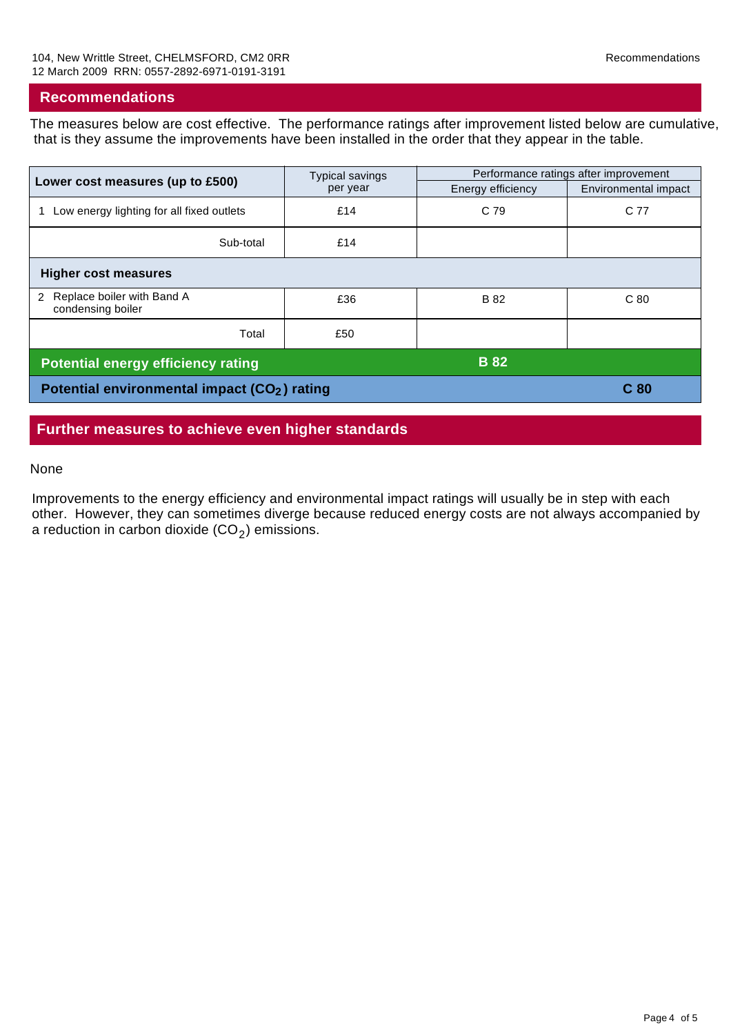#### **Recommendations**

The measures below are cost effective. The performance ratings after improvement listed below are cumulative, that is they assume the improvements have been installed in the order that they appear in the table.

| Lower cost measures (up to £500)                         | <b>Typical savings</b><br>per year | Performance ratings after improvement |                      |  |
|----------------------------------------------------------|------------------------------------|---------------------------------------|----------------------|--|
|                                                          |                                    | Energy efficiency                     | Environmental impact |  |
| Low energy lighting for all fixed outlets                | £14                                | C 79                                  | C 77                 |  |
| Sub-total                                                | £14                                |                                       |                      |  |
| <b>Higher cost measures</b>                              |                                    |                                       |                      |  |
| Replace boiler with Band A<br>2<br>condensing boiler     | £36                                | <b>B</b> 82                           | C <sub>80</sub>      |  |
| Total                                                    | £50                                |                                       |                      |  |
| <b>Potential energy efficiency rating</b>                |                                    | <b>B</b> 82                           |                      |  |
| Potential environmental impact (CO <sub>2</sub> ) rating |                                    |                                       | C <sub>80</sub>      |  |

#### **Further measures to achieve even higher standards**

#### None

Improvements to the energy efficiency and environmental impact ratings will usually be in step with each other. However, they can sometimes diverge because reduced energy costs are not always accompanied by a reduction in carbon dioxide  $(CO<sub>2</sub>)$  emissions.